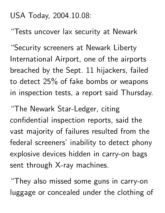#### USA Today, 2004.10.08:

"Tests uncover lax security at Newark

"Security screeners at Newark Liberty International Airport, one of the airports breached by the Sept. 11 hijackers, failed to detect 25% of fake bombs or weapons in inspection tests, a report said Thursday.

"The Newark Star-Ledger, citing confidential inspection reports, said the vast majority of failures resulted from the federal screeners' inability to detect phony explosive devices hidden in carry-on bags sent through X-ray machines.

"They also missed some guns in carry-on luggage or concealed under the clothing of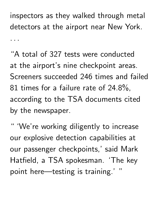inspectors as they walked through metal detectors at the airport near New York. 

"A total of 327 tests were conducted at the airport's nine checkpoint areas. Screeners succeeded 246 times and failed 81 times for a failure rate of 24.8%, according to the TSA documents cited by the newspaper.

" 'We're working diligently to increase our explosive detection capabilities at our passenger checkpoints,' said Mark Hatfield, a TSA spokesman. 'The key point here—testing is training.' "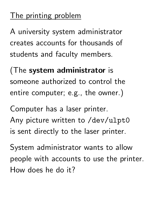# The printing problem

A university system administrator creates accounts for thousands of students and faculty members.

(The system administrator is someone authorized to control the entire computer; e.g., the owner.)

Computer has a laser printer. Any picture written to /dev/ulpt0 is sent directly to the laser printer.

System administrator wants to allow people with accounts to use the printer. How does he do it?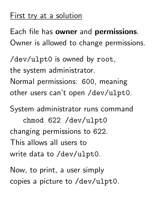#### First try at a solution

Each file has owner and permissions. Owner is allowed to change permissions.

/dev/ulpt0 is owned by root, the system administrator. Normal permissions: 600, meaning other users can't open /dev/ulpt0.

System administrator runs command

chmod 622 /dev/ulpt0 changing permissions to 622. This allows all users to write data to /dev/ulpt0.

Now, to print, a user simply copies a picture to /dev/ulpt0.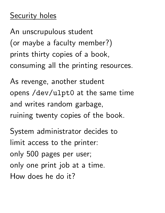An unscrupulous student (or maybe a faculty member?) prints thirty copies of a book, consuming all the printing resources.

As revenge, another student opens /dev/ulpt0 at the same time and writes random garbage, ruining twenty copies of the book.

System administrator decides to limit access to the printer: only 500 pages per user; only one print job at a time. How does he do it?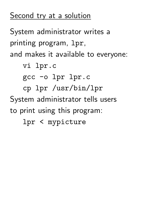# Second try at a solution

System administrator writes a printing program, lpr, and makes it available to everyone:

vi lpr.c

gcc -o lpr lpr.c

cp lpr /usr/bin/lpr

System administrator tells users to print using this program:

lpr < mypicture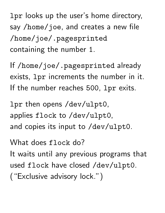lpr looks up the user's home directory, say /home/joe, and creates a new file /home/joe/.pagesprinted containing the number 1.

If /home/joe/.pagesprinted already exists, lpr increments the number in it. If the number reaches 500, lpr exits.

lpr then opens /dev/ulpt0, applies flock to /dev/ulpt0, and copies its input to /dev/ulpt0.

What does flock do? It waits until any previous programs that used flock have closed /dev/ulpt0. ("Exclusive advisory lock.")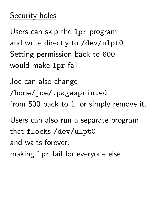Users can skip the lpr program and write directly to /dev/ulpt0. Setting permission back to 600 would make lpr fail.

Joe can also change /home/joe/.pagesprinted from 500 back to 1, or simply remove it.

Users can also run a separate program that flocks /dev/ulpt0 and waits forever, making lpr fail for everyone else.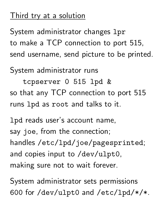## Third try at a solution

System administrator changes 1pr to make a TCP connection to port 515, send username, send picture to be printed.

System administrator runs

tcpserver 0 515 lpd & so that any TCP connection to port 515 runs lpd as root and talks to it.

lpd reads user's account name, say joe, from the connection; handles /etc/lpd/joe/pagesprinted; and copies input to /dev/ulpt0, making sure not to wait forever.

System administrator sets permissions 600 for /dev/ulpt0 and /etc/lpd/\*/\*.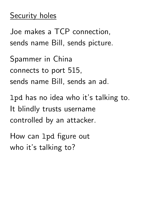Joe makes a TCP connection, sends name Bill, sends picture. Spammer in China connects to port 515, sends name Bill, sends an ad.

lpd has no idea who it's talking to. It blindly trusts username controlled by an attacker.

How can lpd figure out who it's talking to?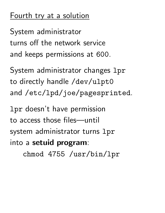### Fourth try at a solution

System administrator turns off the network service and keeps permissions at 600.

System administrator changes lpr to directly handle /dev/ulpt0 and /etc/lpd/joe/pagesprinted.

lpr doesn't have permission to access those files—until system administrator turns 1pr into a setuid program:

chmod 4755 /usr/bin/lpr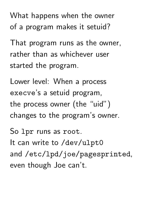What happens when the owner of a program makes it setuid?

That program runs as the owner, rather than as whichever user started the program.

Lower level: When a process execve's a setuid program, the process owner (the "uid") changes to the program's owner.

So lpr runs as root. It can write to /dev/ulpt0 and /etc/lpd/joe/pagesprinted, even though Joe can't.